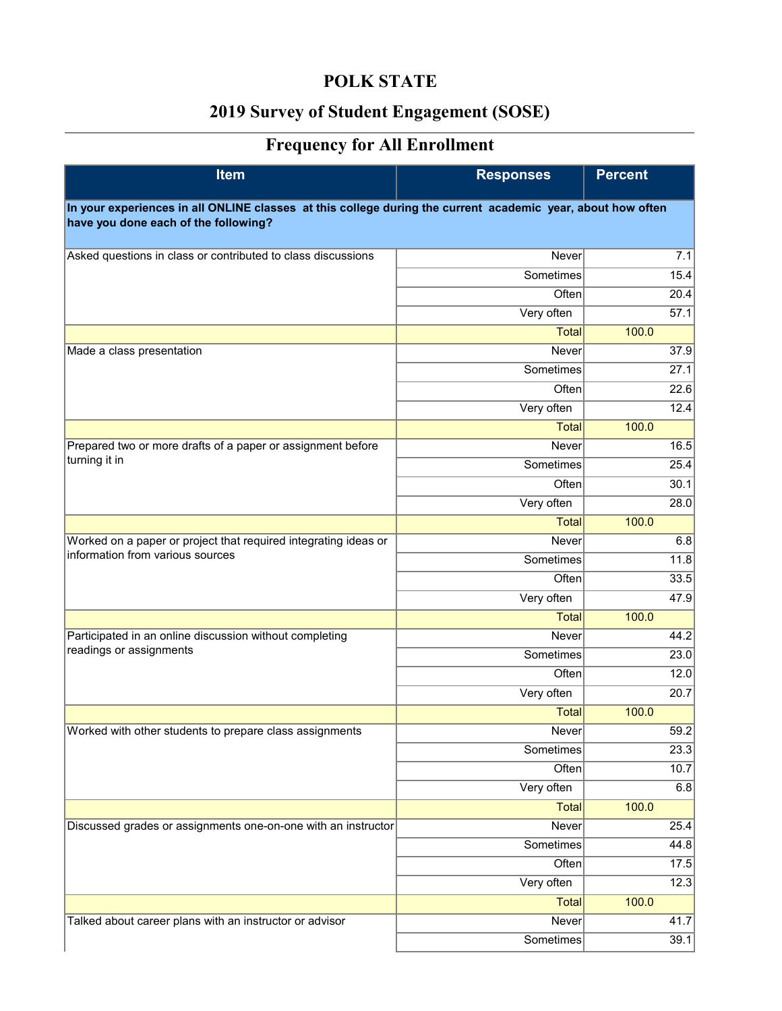## **POLK STATE**

## **2019 Survey of Student Engagement (SOSE)**

## **Frequency for All Enrollment**

| <b>Item</b>                                                                                                 | <b>Responses</b> | <b>Percent</b> |
|-------------------------------------------------------------------------------------------------------------|------------------|----------------|
| In your experiences in all ONLINE classes at this college during the current academic year, about how often |                  |                |
| have you done each of the following?                                                                        |                  |                |
| Asked questions in class or contributed to class discussions                                                | Never            | 7.1            |
|                                                                                                             | Sometimes        | 15.4           |
|                                                                                                             | Often            | 20.4           |
|                                                                                                             | Very often       | 57.1           |
|                                                                                                             | <b>Total</b>     | 100.0          |
| Made a class presentation                                                                                   | Never            | 37.9           |
|                                                                                                             | Sometimes        | 27.1           |
|                                                                                                             | Often            | 22.6           |
|                                                                                                             | Very often       | 12.4           |
|                                                                                                             | <b>Total</b>     | 100.0          |
| Prepared two or more drafts of a paper or assignment before                                                 | Never            | 16.5           |
| turning it in                                                                                               | Sometimes        | 25.4           |
|                                                                                                             | Often            | 30.1           |
|                                                                                                             | Very often       | 28.0           |
|                                                                                                             | <b>Total</b>     | 100.0          |
| Worked on a paper or project that required integrating ideas or                                             | Never            | 6.8            |
| information from various sources                                                                            | Sometimes        | 11.8           |
|                                                                                                             | Often            | 33.5           |
|                                                                                                             | Very often       | 47.9           |
|                                                                                                             | <b>Total</b>     | 100.0          |
| Participated in an online discussion without completing                                                     | Never            | 44.2           |
| readings or assignments                                                                                     | Sometimes        | 23.0           |
|                                                                                                             | Often            | 12.0           |
|                                                                                                             | Very often       | 20.7           |
|                                                                                                             | <b>Total</b>     | 100.0          |
| Worked with other students to prepare class assignments                                                     | Never            | 59.2           |
|                                                                                                             | Sometimes        | 23.3           |
|                                                                                                             | Often            | 10.7           |
|                                                                                                             | Very often       | 6.8            |
|                                                                                                             | <b>Total</b>     | 100.0          |
| Discussed grades or assignments one-on-one with an instructor                                               | Never            | 25.4           |
|                                                                                                             | Sometimes        | 44.8           |
|                                                                                                             | Often            | 17.5           |
|                                                                                                             | Very often       | 12.3           |
|                                                                                                             | Total            | 100.0          |
| Talked about career plans with an instructor or advisor                                                     | Never            | 41.7           |
|                                                                                                             | Sometimes        | 39.1           |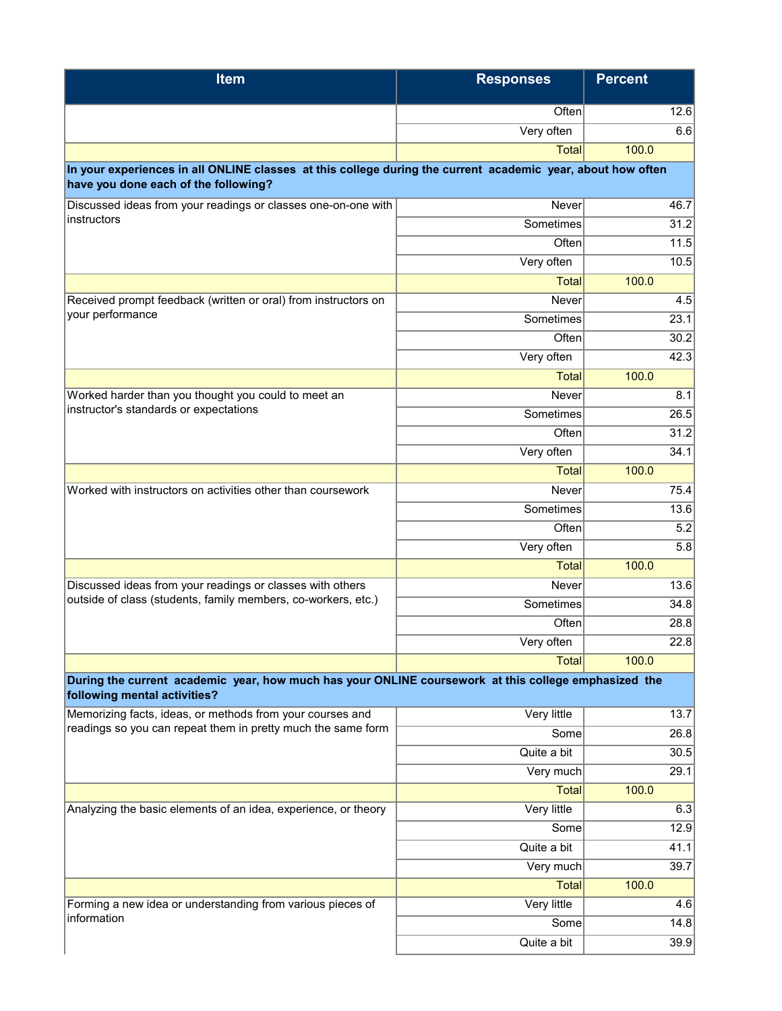| <b>Item</b>                                                                                                                                         | <b>Responses</b> | <b>Percent</b> |
|-----------------------------------------------------------------------------------------------------------------------------------------------------|------------------|----------------|
|                                                                                                                                                     | Often            | 12.6           |
|                                                                                                                                                     | Very often       | 6.6            |
|                                                                                                                                                     | <b>Total</b>     | 100.0          |
| In your experiences in all ONLINE classes at this college during the current academic year, about how often<br>have you done each of the following? |                  |                |
| Discussed ideas from your readings or classes one-on-one with                                                                                       | Never            | 46.7           |
| instructors                                                                                                                                         | Sometimes        | 31.2           |
|                                                                                                                                                     | Often            | 11.5           |
|                                                                                                                                                     | Very often       | 10.5           |
|                                                                                                                                                     | <b>Total</b>     | 100.0          |
| Received prompt feedback (written or oral) from instructors on                                                                                      | Never            | 4.5            |
| your performance                                                                                                                                    | Sometimes        | 23.1           |
|                                                                                                                                                     | Often            | 30.2           |
|                                                                                                                                                     | Very often       | 42.3           |
|                                                                                                                                                     | <b>Total</b>     | 100.0          |
| Worked harder than you thought you could to meet an                                                                                                 | Never            | 8.1            |
| instructor's standards or expectations                                                                                                              | Sometimes        | 26.5           |
|                                                                                                                                                     | Often            | 31.2           |
|                                                                                                                                                     | Very often       | 34.1           |
|                                                                                                                                                     | <b>Total</b>     | 100.0          |
| Worked with instructors on activities other than coursework                                                                                         | Never            | 75.4           |
|                                                                                                                                                     | Sometimes        | 13.6           |
|                                                                                                                                                     | Often            | 5.2            |
|                                                                                                                                                     | Very often       | 5.8            |
|                                                                                                                                                     | <b>Total</b>     | 100.0          |
| Discussed ideas from your readings or classes with others                                                                                           | Never            | 13.6           |
| outside of class (students, family members, co-workers, etc.)                                                                                       | Sometimes        | 34.8           |
|                                                                                                                                                     | Often            | 28.8           |
|                                                                                                                                                     | Very often       | 22.8           |
|                                                                                                                                                     | <b>Total</b>     | 100.0          |
| During the current academic year, how much has your ONLINE coursework at this college emphasized the<br>following mental activities?                |                  |                |
| Memorizing facts, ideas, or methods from your courses and                                                                                           | Very little      | 13.7           |
| readings so you can repeat them in pretty much the same form                                                                                        | Some             | 26.8           |
|                                                                                                                                                     | Quite a bit      | 30.5           |
|                                                                                                                                                     | Very much        | 29.1           |
|                                                                                                                                                     | <b>Total</b>     | 100.0          |
| Analyzing the basic elements of an idea, experience, or theory                                                                                      | Very little      | 6.3            |
|                                                                                                                                                     | Some             | 12.9           |
|                                                                                                                                                     | Quite a bit      | 41.1           |
|                                                                                                                                                     | Very much        | 39.7           |
|                                                                                                                                                     | <b>Total</b>     | 100.0          |
| Forming a new idea or understanding from various pieces of<br>information                                                                           | Very little      | 4.6            |
|                                                                                                                                                     | Some             | 14.8           |
|                                                                                                                                                     | Quite a bit      | 39.9           |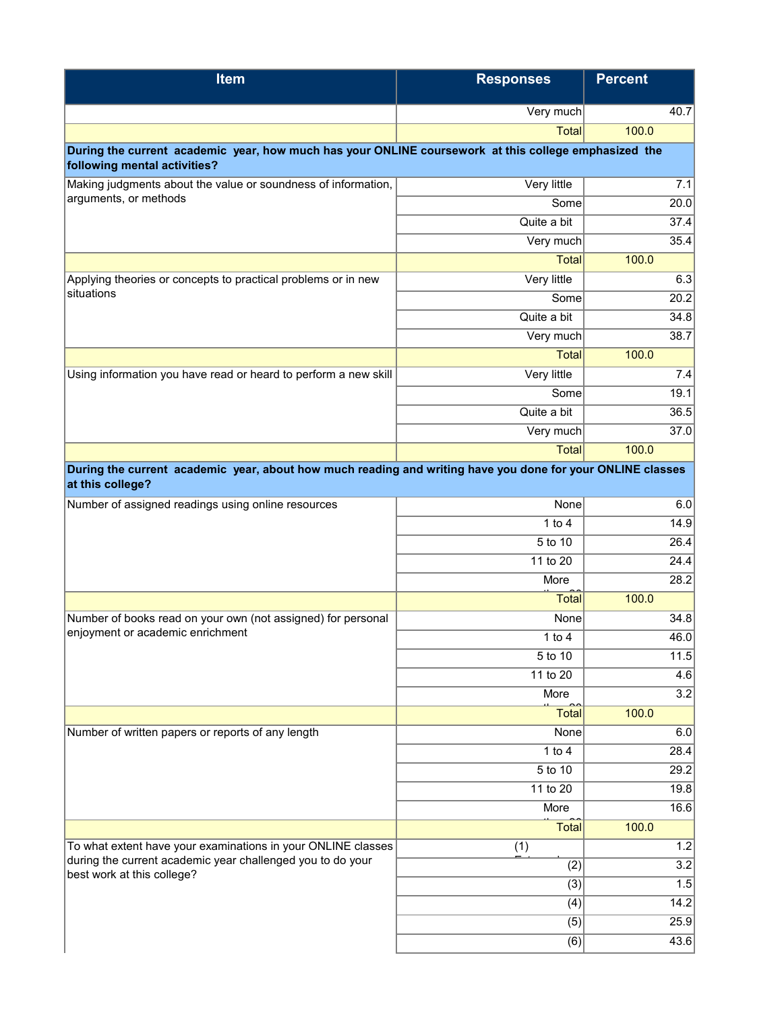| <b>Item</b>                                                                                                | <b>Responses</b>    | <b>Percent</b>    |
|------------------------------------------------------------------------------------------------------------|---------------------|-------------------|
|                                                                                                            | Very much           | 40.7              |
|                                                                                                            | <b>Total</b>        | 100.0             |
| During the current academic year, how much has your ONLINE coursework at this college emphasized the       |                     |                   |
| following mental activities?                                                                               |                     |                   |
| Making judgments about the value or soundness of information,<br>arguments, or methods                     | Very little         | 7.1               |
|                                                                                                            | Some<br>Quite a bit | 20.0              |
|                                                                                                            | Very much           | 37.4<br>35.4      |
|                                                                                                            | <b>Total</b>        | 100.0             |
| Applying theories or concepts to practical problems or in new                                              | Very little         | 6.3               |
| situations                                                                                                 | Some                | 20.2              |
|                                                                                                            | Quite a bit         | 34.8              |
|                                                                                                            | Very much           | 38.7              |
|                                                                                                            | Total               | 100.0             |
| Using information you have read or heard to perform a new skill                                            | Very little         | 7.4               |
|                                                                                                            | Some                | 19.1              |
|                                                                                                            | Quite a bit         | 36.5              |
|                                                                                                            | Very much           | 37.0              |
|                                                                                                            | Total               | 100.0             |
| During the current academic year, about how much reading and writing have you done for your ONLINE classes |                     |                   |
| at this college?                                                                                           |                     |                   |
| Number of assigned readings using online resources                                                         | None                | 6.0               |
|                                                                                                            | 1 to $4$            | 14.9              |
|                                                                                                            | 5 to 10             | 26.4              |
|                                                                                                            | 11 to 20            | 24.4              |
|                                                                                                            | More                | 28.2              |
|                                                                                                            | <b>Total</b>        | 100.0             |
| Number of books read on your own (not assigned) for personal<br>enjoyment or academic enrichment           | None                | 34.8              |
|                                                                                                            | $1$ to $4$          | 46.0              |
|                                                                                                            | $5$ to 10           | $\overline{11.5}$ |
|                                                                                                            | 11 to 20            | 4.6               |
|                                                                                                            | More                | $\overline{3.2}$  |
|                                                                                                            | <b>Total</b>        | 100.0             |
| Number of written papers or reports of any length                                                          | None<br>1 to $4$    | 6.0<br>28.4       |
|                                                                                                            | 5 to 10             | 29.2              |
|                                                                                                            | 11 to 20            | 19.8              |
|                                                                                                            | More                | 16.6              |
|                                                                                                            | <b>Total</b>        | 100.0             |
| To what extent have your examinations in your ONLINE classes                                               | (1)                 | 1.2               |
| during the current academic year challenged you to do your                                                 | (2)                 | 3.2               |
| best work at this college?                                                                                 | (3)                 | 1.5               |
|                                                                                                            | (4)                 | 14.2              |
|                                                                                                            | (5)                 | 25.9              |
|                                                                                                            | (6)                 | 43.6              |
|                                                                                                            |                     |                   |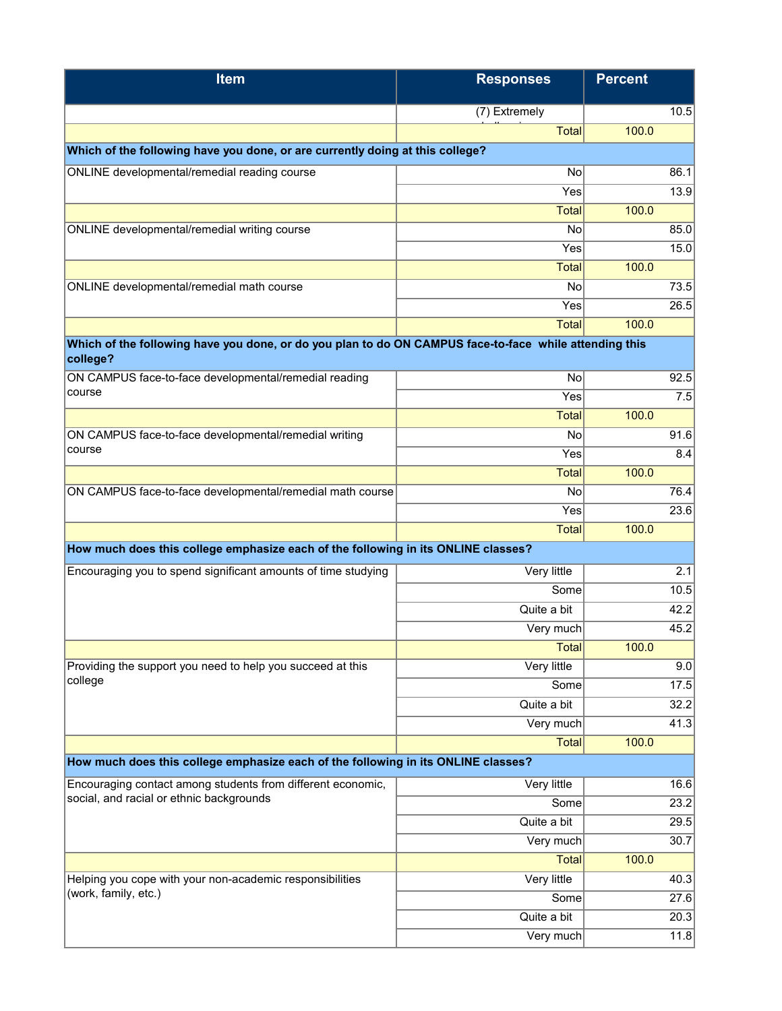| <b>Item</b>                                                                                                        | <b>Responses</b>    | <b>Percent</b> |              |
|--------------------------------------------------------------------------------------------------------------------|---------------------|----------------|--------------|
|                                                                                                                    | (7) Extremely       |                | 10.5         |
|                                                                                                                    | <b>Total</b>        | 100.0          |              |
| Which of the following have you done, or are currently doing at this college?                                      |                     |                |              |
| ONLINE developmental/remedial reading course                                                                       | No                  |                | 86.1         |
|                                                                                                                    | Yes                 |                | 13.9         |
|                                                                                                                    | <b>Total</b>        | 100.0          |              |
| ONLINE developmental/remedial writing course                                                                       | No                  |                | 85.0         |
|                                                                                                                    | Yes                 |                | 15.0         |
|                                                                                                                    | <b>Total</b>        | 100.0          |              |
| ONLINE developmental/remedial math course                                                                          | No                  |                | 73.5         |
|                                                                                                                    | Yes                 |                | 26.5         |
|                                                                                                                    | <b>Total</b>        | 100.0          |              |
| Which of the following have you done, or do you plan to do ON CAMPUS face-to-face while attending this<br>college? |                     |                |              |
| ON CAMPUS face-to-face developmental/remedial reading                                                              | No                  |                | 92.5         |
| course                                                                                                             | $\bar{Y}$ es        |                | 7.5          |
|                                                                                                                    | <b>Total</b>        | 100.0          |              |
| ON CAMPUS face-to-face developmental/remedial writing                                                              | No                  |                | 91.6         |
| course                                                                                                             | Yes                 |                | 8.4          |
|                                                                                                                    | <b>Total</b>        | 100.0          |              |
| ON CAMPUS face-to-face developmental/remedial math course                                                          | No                  |                | 76.4         |
|                                                                                                                    | Yes                 |                | 23.6         |
|                                                                                                                    | <b>Total</b>        | 100.0          |              |
| How much does this college emphasize each of the following in its ONLINE classes?                                  |                     |                |              |
| Encouraging you to spend significant amounts of time studying                                                      | Very little         |                | 2.1          |
|                                                                                                                    | Some                |                | 10.5         |
|                                                                                                                    | Quite a bit         |                | 42.2         |
|                                                                                                                    | Very much           |                | 45.2         |
|                                                                                                                    | <b>Total</b>        | 100.0          |              |
| Providing the support you need to help you succeed at this<br>college                                              | Very little         |                | 9.0          |
|                                                                                                                    | Some                |                | 17.5         |
|                                                                                                                    | Quite a bit         |                | 32.2         |
|                                                                                                                    | Very much           |                | 41.3         |
|                                                                                                                    | <b>Total</b>        | 100.0          |              |
| How much does this college emphasize each of the following in its ONLINE classes?                                  |                     |                |              |
| Encouraging contact among students from different economic,<br>social, and racial or ethnic backgrounds            | Very little         |                | 16.6         |
|                                                                                                                    | Some                |                | 23.2         |
|                                                                                                                    | Quite a bit         |                | 29.5         |
|                                                                                                                    | Very much           |                | 30.7         |
|                                                                                                                    | <b>Total</b>        | 100.0          |              |
| Helping you cope with your non-academic responsibilities<br>(work, family, etc.)                                   | Very little<br>Some |                | 40.3         |
|                                                                                                                    | Quite a bit         |                | 27.6<br>20.3 |
|                                                                                                                    | Very much           |                | 11.8         |
|                                                                                                                    |                     |                |              |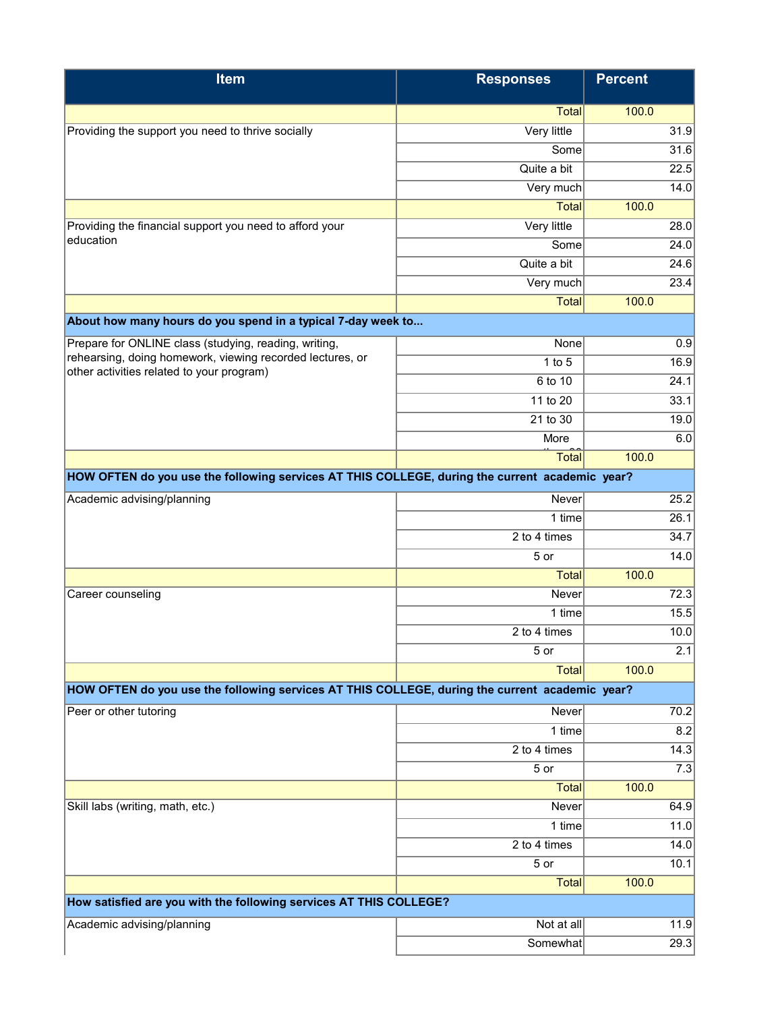| <b>Item</b>                                                                                    | <b>Responses</b>    | <b>Percent</b> |      |
|------------------------------------------------------------------------------------------------|---------------------|----------------|------|
|                                                                                                | Total               | 100.0          |      |
| Providing the support you need to thrive socially                                              | Very little         |                | 31.9 |
|                                                                                                | Some                |                | 31.6 |
|                                                                                                | Quite a bit         |                | 22.5 |
|                                                                                                | Very much           |                | 14.0 |
|                                                                                                | <b>Total</b>        | 100.0          |      |
| Providing the financial support you need to afford your                                        | Very little         |                | 28.0 |
| education                                                                                      | Some                |                | 24.0 |
|                                                                                                | Quite a bit         |                | 24.6 |
|                                                                                                | Very much           |                | 23.4 |
|                                                                                                | Total               | 100.0          |      |
| About how many hours do you spend in a typical 7-day week to                                   |                     |                |      |
| Prepare for ONLINE class (studying, reading, writing,                                          | None                |                | 0.9  |
| rehearsing, doing homework, viewing recorded lectures, or                                      | $1$ to $5$          |                | 16.9 |
| other activities related to your program)                                                      | 6 to 10             |                | 24.1 |
|                                                                                                | 11 to 20            |                | 33.1 |
|                                                                                                | 21 to 30            |                | 19.0 |
|                                                                                                | More                |                | 6.0  |
|                                                                                                | Total               | 100.0          |      |
| HOW OFTEN do you use the following services AT THIS COLLEGE, during the current academic year? |                     |                |      |
| Academic advising/planning                                                                     | Never               |                | 25.2 |
|                                                                                                | 1 time              |                | 26.1 |
|                                                                                                | 2 to 4 times        |                | 34.7 |
|                                                                                                | 5 or                |                | 14.0 |
|                                                                                                | <b>Total</b>        | 100.0          |      |
| Career counseling                                                                              | <b>Never</b>        |                | 72.3 |
|                                                                                                | 1 time              |                | 15.5 |
|                                                                                                | 2 to 4 times        |                | 10.0 |
|                                                                                                | 5 or                |                | 2.1  |
|                                                                                                | <b>Total</b>        | 100.0          |      |
| HOW OFTEN do you use the following services AT THIS COLLEGE, during the current academic year? |                     |                |      |
| Peer or other tutoring                                                                         | Never               |                | 70.2 |
|                                                                                                | 1 time              |                | 8.2  |
|                                                                                                | 2 to 4 times        |                | 14.3 |
|                                                                                                | 5 or                |                | 7.3  |
|                                                                                                | Total               | 100.0          |      |
| Skill labs (writing, math, etc.)                                                               | Never               |                | 64.9 |
|                                                                                                | $\overline{1}$ time |                | 11.0 |
|                                                                                                | 2 to 4 times        |                | 14.0 |
|                                                                                                | 5 or                |                | 10.1 |
|                                                                                                | <b>Total</b>        | 100.0          |      |
| How satisfied are you with the following services AT THIS COLLEGE?                             |                     |                |      |
| Academic advising/planning                                                                     | Not at all          |                | 11.9 |
|                                                                                                | Somewhat            |                | 29.3 |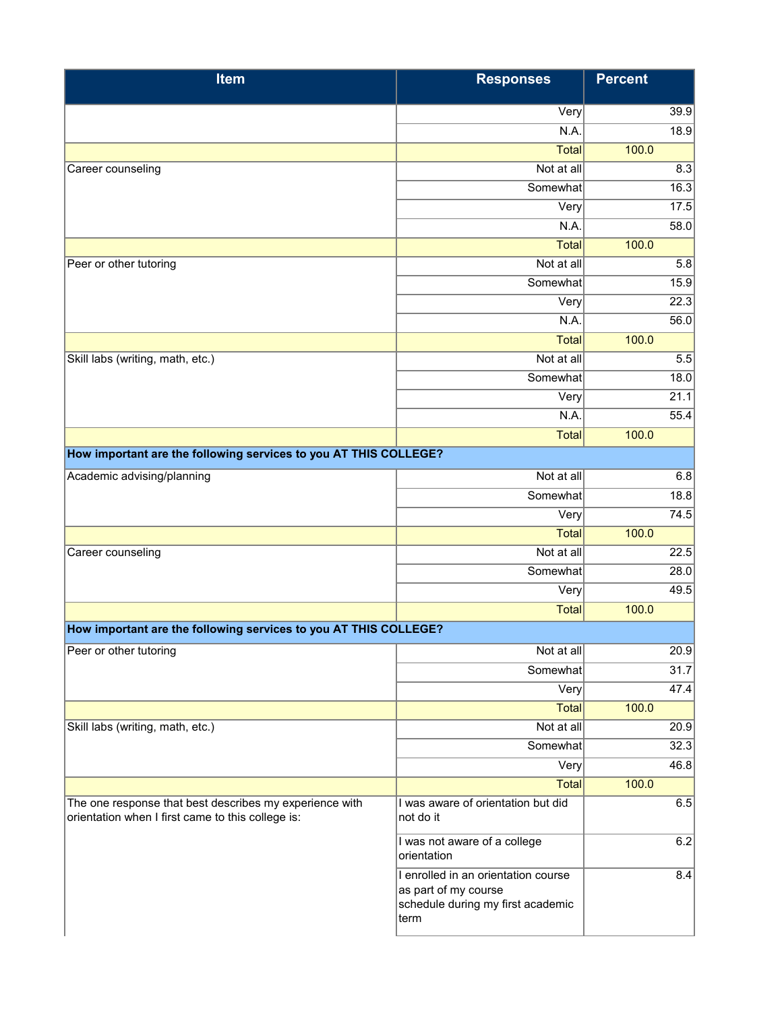| <b>Item</b>                                                                                                  | <b>Responses</b>                                                                                         | <b>Percent</b> |      |
|--------------------------------------------------------------------------------------------------------------|----------------------------------------------------------------------------------------------------------|----------------|------|
|                                                                                                              | Very                                                                                                     |                | 39.9 |
|                                                                                                              | N.A.                                                                                                     |                | 18.9 |
|                                                                                                              | <b>Total</b>                                                                                             | 100.0          |      |
| Career counseling                                                                                            | Not at all                                                                                               |                | 8.3  |
|                                                                                                              | Somewhat                                                                                                 |                | 16.3 |
|                                                                                                              | $\bar{V}$ ery                                                                                            |                | 17.5 |
|                                                                                                              | N.A.                                                                                                     |                | 58.0 |
|                                                                                                              | <b>Total</b>                                                                                             | 100.0          |      |
| Peer or other tutoring                                                                                       | Not at all                                                                                               |                | 5.8  |
|                                                                                                              | Somewhat                                                                                                 |                | 15.9 |
|                                                                                                              | Very                                                                                                     |                | 22.3 |
|                                                                                                              | N.A.                                                                                                     |                | 56.0 |
|                                                                                                              | <b>Total</b>                                                                                             | 100.0          |      |
| Skill labs (writing, math, etc.)                                                                             | Not at all                                                                                               |                | 5.5  |
|                                                                                                              | Somewhat                                                                                                 |                | 18.0 |
|                                                                                                              | Very                                                                                                     |                | 21.1 |
|                                                                                                              | N.A.                                                                                                     |                | 55.4 |
|                                                                                                              | <b>Total</b>                                                                                             | 100.0          |      |
| How important are the following services to you AT THIS COLLEGE?                                             |                                                                                                          |                |      |
| Academic advising/planning                                                                                   | Not at all                                                                                               |                | 6.8  |
|                                                                                                              | Somewhat                                                                                                 |                | 18.8 |
|                                                                                                              | Very                                                                                                     |                | 74.5 |
|                                                                                                              | <b>Total</b>                                                                                             | 100.0          |      |
| Career counseling                                                                                            | Not at all                                                                                               |                | 22.5 |
|                                                                                                              | Somewhat                                                                                                 |                | 28.0 |
|                                                                                                              | Very                                                                                                     |                | 49.5 |
|                                                                                                              | <b>Total</b>                                                                                             | 100.0          |      |
| How important are the following services to you AT THIS COLLEGE?                                             |                                                                                                          |                |      |
| Peer or other tutoring                                                                                       | Not at all                                                                                               |                | 20.9 |
|                                                                                                              | Somewhat                                                                                                 |                | 31.7 |
|                                                                                                              | Very                                                                                                     |                | 47.4 |
|                                                                                                              | <b>Total</b>                                                                                             | 100.0          |      |
| Skill labs (writing, math, etc.)                                                                             | Not at all                                                                                               |                | 20.9 |
|                                                                                                              | Somewhat                                                                                                 |                | 32.3 |
|                                                                                                              | Very                                                                                                     |                | 46.8 |
|                                                                                                              | Total                                                                                                    | 100.0          |      |
| The one response that best describes my experience with<br>orientation when I first came to this college is: | I was aware of orientation but did<br>not do it                                                          |                | 6.5  |
|                                                                                                              | I was not aware of a college<br>orientation                                                              |                | 6.2  |
|                                                                                                              | I enrolled in an orientation course<br>as part of my course<br>schedule during my first academic<br>term |                | 8.4  |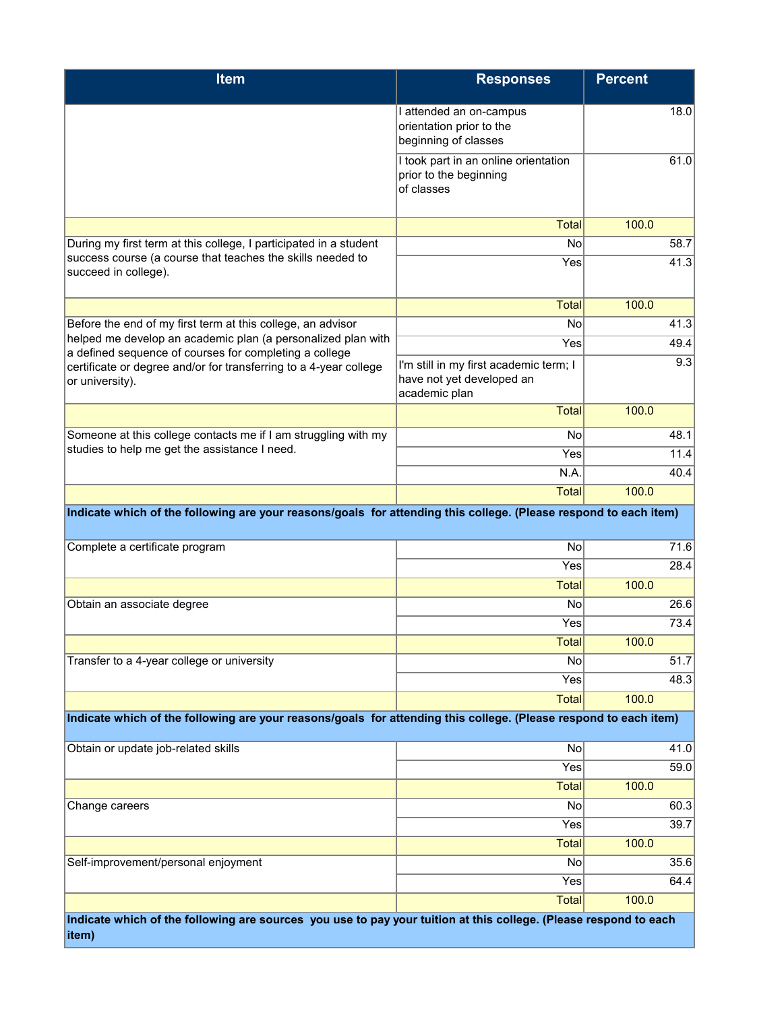| <b>Item</b>                                                                                                                 | <b>Responses</b>                                                                     | <b>Percent</b> |
|-----------------------------------------------------------------------------------------------------------------------------|--------------------------------------------------------------------------------------|----------------|
|                                                                                                                             | I attended an on-campus<br>orientation prior to the<br>beginning of classes          | 18.0           |
|                                                                                                                             | I took part in an online orientation<br>prior to the beginning<br>of classes         | 61.0           |
|                                                                                                                             | <b>Total</b>                                                                         | 100.0          |
| During my first term at this college, I participated in a student                                                           | No                                                                                   | 58.7           |
| success course (a course that teaches the skills needed to<br>succeed in college).                                          | Yes                                                                                  | 41.3           |
|                                                                                                                             | <b>Total</b>                                                                         | 100.0          |
| Before the end of my first term at this college, an advisor<br>helped me develop an academic plan (a personalized plan with | No                                                                                   | 41.3           |
| a defined sequence of courses for completing a college                                                                      | Yes                                                                                  | 49.4           |
| certificate or degree and/or for transferring to a 4-year college<br>or university).                                        | I'm still in my first academic term; I<br>have not yet developed an<br>academic plan | 9.3            |
|                                                                                                                             | <b>Total</b>                                                                         | 100.0          |
| Someone at this college contacts me if I am struggling with my                                                              | No                                                                                   | 48.1           |
| studies to help me get the assistance I need.                                                                               | Yes                                                                                  | 11.4           |
|                                                                                                                             | N.A.                                                                                 | 40.4           |
|                                                                                                                             | <b>Total</b>                                                                         | 100.0          |
| Indicate which of the following are your reasons/goals for attending this college. (Please respond to each item)            |                                                                                      |                |
| Complete a certificate program                                                                                              | No                                                                                   | 71.6           |
|                                                                                                                             | Yes                                                                                  | 28.4           |
|                                                                                                                             | <b>Total</b>                                                                         | 100.0          |
| Obtain an associate degree                                                                                                  | No                                                                                   | 26.6           |
|                                                                                                                             | Yes                                                                                  | 73.4           |
| Transfer to a 4-year college or university                                                                                  | Total<br>No                                                                          | 100.0<br>51.7  |
|                                                                                                                             | Yes                                                                                  | 48.3           |
|                                                                                                                             | <b>Total</b>                                                                         | 100.0          |
| Indicate which of the following are your reasons/goals for attending this college. (Please respond to each item)            |                                                                                      |                |
|                                                                                                                             |                                                                                      |                |
| Obtain or update job-related skills                                                                                         | No                                                                                   | 41.0           |
|                                                                                                                             | Yes                                                                                  | 59.0           |
|                                                                                                                             | <b>Total</b>                                                                         | 100.0          |
| Change careers                                                                                                              | No<br>Yes                                                                            | 60.3<br>39.7   |
|                                                                                                                             | <b>Total</b>                                                                         | 100.0          |
| Self-improvement/personal enjoyment                                                                                         | No                                                                                   | 35.6           |
|                                                                                                                             | Yes                                                                                  | 64.4           |
|                                                                                                                             | <b>Total</b>                                                                         | 100.0          |
| Indicate which of the following are sources you use to pay your tuition at this college. (Please respond to each            |                                                                                      |                |
| item)                                                                                                                       |                                                                                      |                |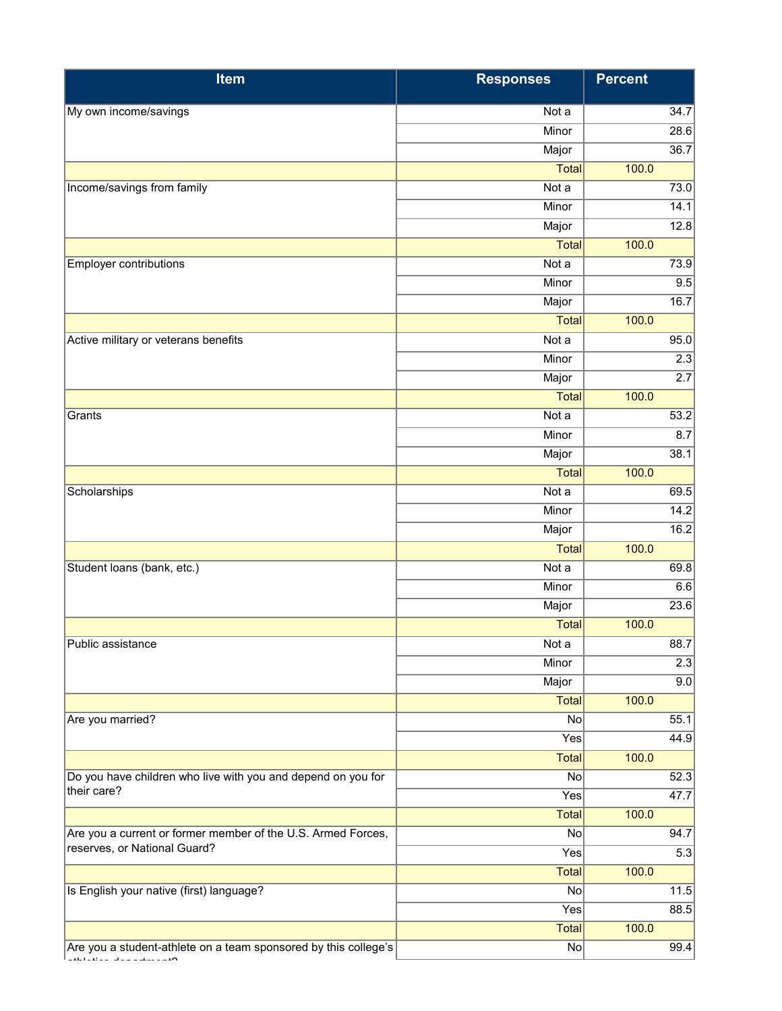| Item                                                                                         | <b>Responses</b> | <b>Percent</b> |                   |
|----------------------------------------------------------------------------------------------|------------------|----------------|-------------------|
| My own income/savings                                                                        | Not a            |                | 34.7              |
|                                                                                              | Minor            |                | 28.6              |
|                                                                                              | Major            |                | $\overline{36.7}$ |
|                                                                                              | <b>Total</b>     | 100.0          |                   |
| Income/savings from family                                                                   | Not a            |                | 73.0              |
|                                                                                              | Minor            |                | 14.1              |
|                                                                                              | Major            |                | 12.8              |
|                                                                                              | <b>Total</b>     | 100.0          |                   |
| <b>Employer contributions</b>                                                                | Not a            |                | 73.9              |
|                                                                                              | Minor            |                | 9.5               |
|                                                                                              | Major            |                | 16.7              |
|                                                                                              | <b>Total</b>     | 100.0          |                   |
| Active military or veterans benefits                                                         | Nota             |                | 95.0              |
|                                                                                              | Minor            |                | 2.3               |
|                                                                                              | Major            |                | 2.7               |
|                                                                                              | <b>Total</b>     | 100.0          |                   |
| Grants                                                                                       | Not a            |                | 53.2              |
|                                                                                              | Minor            |                | 8.7               |
|                                                                                              | Major            |                | 38.1              |
|                                                                                              | <b>Total</b>     | 100.0          |                   |
| Scholarships                                                                                 | Not a            |                | 69.5              |
|                                                                                              | Minor            |                | $\overline{14.2}$ |
|                                                                                              | Major            |                | 16.2              |
|                                                                                              | <b>Total</b>     | 100.0          |                   |
| Student loans (bank, etc.)                                                                   | Not a            |                | 69.8              |
|                                                                                              | Minor            |                | 6.6               |
|                                                                                              | Major            |                | 23.6              |
|                                                                                              | <b>Total</b>     | 100.0          |                   |
| Public assistance                                                                            | Not a            |                | 88.7              |
|                                                                                              | Minor            |                | 2.3               |
|                                                                                              | Major            |                | 9.0               |
|                                                                                              | <b>Total</b>     | 100.0          |                   |
| Are you married?                                                                             | No               |                | 55.1              |
|                                                                                              | Yes              |                | 44.9              |
|                                                                                              | <b>Total</b>     | 100.0          |                   |
| Do you have children who live with you and depend on you for<br>their care?                  | No               |                | 52.3              |
|                                                                                              | Yes              |                | 47.7              |
|                                                                                              | Total            | 100.0          |                   |
| Are you a current or former member of the U.S. Armed Forces,<br>reserves, or National Guard? | No               |                | 94.7              |
|                                                                                              | Yes              |                | 5.3               |
|                                                                                              | <b>Total</b>     | 100.0          |                   |
| Is English your native (first) language?                                                     | No               |                | 11.5              |
|                                                                                              | Yes              |                | 88.5              |
|                                                                                              | <b>Total</b>     | 100.0          |                   |
| Are you a student-athlete on a team sponsored by this college's                              | No               |                | 99.4              |